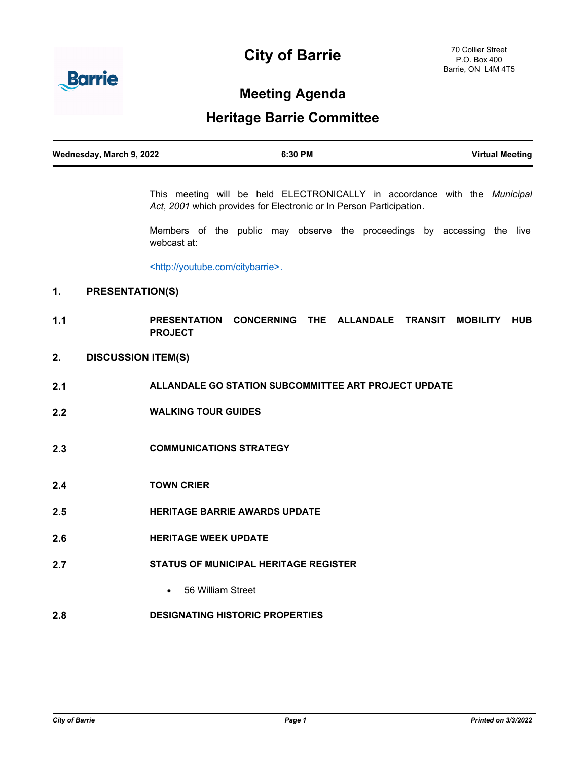# **City of Barrie**



## **Meeting Agenda**

### **Heritage Barrie Committee**

| Wednesday, March 9, 2022 | 6:30 PM | <b>Virtual Meeting</b> |
|--------------------------|---------|------------------------|
|                          |         |                        |

This meeting will be held ELECTRONICALLY in accordance with the *Municipal Act*, *2001* which provides for Electronic or In Person Participation*.*

Members of the public may observe the proceedings by accessing the live webcast at:

<http://youtube.com/citybarrie>.

#### **1. PRESENTATION(S)**

- **1.1 PRESENTATION CONCERNING THE ALLANDALE TRANSIT MOBILITY HUB PROJECT**
- **2. DISCUSSION ITEM(S)**
- **2.1 ALLANDALE GO STATION SUBCOMMITTEE ART PROJECT UPDATE**
- **2.2 WALKING TOUR GUIDES**
- **2.3 COMMUNICATIONS STRATEGY**
- **2.4 TOWN CRIER**
- **2.5 HERITAGE BARRIE AWARDS UPDATE**
- **2.6 HERITAGE WEEK UPDATE**
- **2.7 STATUS OF MUNICIPAL HERITAGE REGISTER**
	- · 56 William Street
- **2.8 DESIGNATING HISTORIC PROPERTIES**